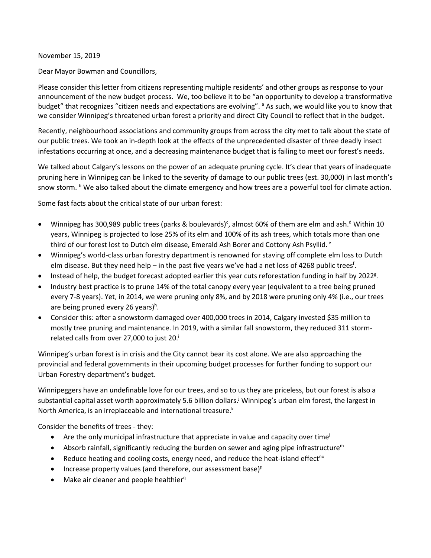## November 15, 2019

Dear Mayor Bowman and Councillors,

Please consider this letter from citizens representing multiple residents' and other groups as response to your announcement of the new budget process. We, too believe it to be "an opportunity to develop a transformative budget" that recognizes "citizen needs and expectations are evolving". <sup>a</sup> As such, we would like you to know that we consider Winnipeg's threatened urban forest a priority and direct City Council to reflect that in the budget.

Recently, neighbourhood associations and community groups from across the city met to talk about the state of our public trees. We took an in-depth look at the effects of the unprecedented disaster of three deadly insect infestations occurring at once, and a decreasing maintenance budget that is failing to meet our forest's needs.

We talked about Calgary's lessons on the power of an adequate pruning cycle. It's clear that years of inadequate pruning here in Winnipeg can be linked to the severity of damage to our public trees (est. 30,000) in last month's snow storm. <sup>b</sup> We also talked about the climate emergency and how trees are a powerful tool for climate action.

Some fast facts about the critical state of our urban forest:

- Winnipeg has 300,989 public trees (parks & boulevards)<sup>c</sup>, almost 60% of them are elm and ash.<sup>d</sup> Within 10 years, Winnipeg is projected to lose 25% of its elm and 100% of its ash trees, which totals more than one third of our forest lost to Dutch elm disease, Emerald Ash Borer and Cottony Ash Psyllid.<sup>e</sup>
- Winnipeg's world-class urban forestry department is renowned for staving off complete elm loss to Dutch elm disease. But they need help – in the past five years we've had a net loss of 4268 public trees<sup>f</sup>.
- Instead of help, the budget forecast adopted earlier this year cuts reforestation funding in half by 2022<sup>g</sup>.
- Industry best practice is to prune 14% of the total canopy every year (equivalent to a tree being pruned every 7-8 years). Yet, in 2014, we were pruning only 8%, and by 2018 were pruning only 4% (i.e., our trees are being pruned every 26 years)<sup>h</sup>.
- Consider this: after a snowstorm damaged over 400,000 trees in 2014, Calgary invested \$35 million to mostly tree pruning and maintenance. In 2019, with a similar fall snowstorm, they reduced 311 stormrelated calls from over 27,000 to just 20.<sup>i</sup>

Winnipeg's urban forest is in crisis and the City cannot bear its cost alone. We are also approaching the provincial and federal governments in their upcoming budget processes for further funding to support our Urban Forestry department's budget.

Winnipeggers have an undefinable love for our trees, and so to us they are priceless, but our forest is also a substantial capital asset worth approximately 5.6 billion dollars.<sup>j</sup> Winnipeg's urban elm forest, the largest in North America, is an irreplaceable and international treasure.<sup>k</sup>

Consider the benefits of trees - they:

- Are the only municipal infrastructure that appreciate in value and capacity over time
- Absorb rainfall, significantly reducing the burden on sewer and aging pipe infrastructure<sup>m</sup>
- Reduce heating and cooling costs, energy need, and reduce the heat-island effect<sup>no</sup>
- Increase property values (and therefore, our assessment base) $P$
- Make air cleaner and people healthier<sup>q</sup>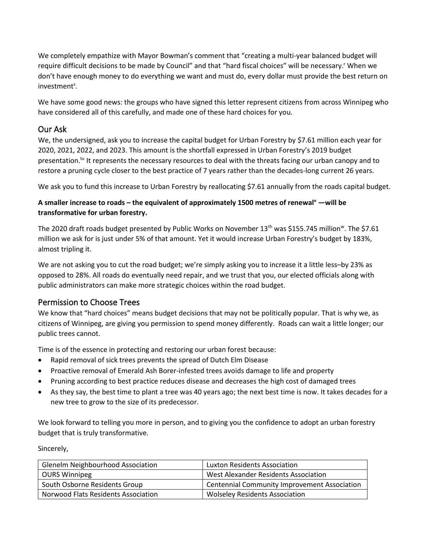We completely empathize with Mayor Bowman's comment that "creating a multi-year balanced budget will require difficult decisions to be made by Council" and that "hard fiscal choices" will be necessary. When we don't have enough money to do everything we want and must do, every dollar must provide the best return on investment<sup>s</sup>.

We have some good news: the groups who have signed this letter represent citizens from across Winnipeg who have considered all of this carefully, and made one of these hard choices for you.

## Our Ask

We, the undersigned, ask you to increase the capital budget for Urban Forestry by \$7.61 million each year for 2020, 2021, 2022, and 2023. This amount is the shortfall expressed in Urban Forestry's 2019 budget presentation.<sup>tu</sup> It represents the necessary resources to deal with the threats facing our urban canopy and to restore a pruning cycle closer to the best practice of 7 years rather than the decades-long current 26 years.

We ask you to fund this increase to Urban Forestry by reallocating \$7.61 annually from the roads capital budget.

## **A smaller increase to roads – the equivalent of approximately 1500 metres of renewal<sup>v</sup> —will be transformative for urban forestry.**

The 2020 draft roads budget presented by Public Works on November 13<sup>th</sup> was \$155.745 million<sup>w</sup>. The \$7.61 million we ask for is just under 5% of that amount. Yet it would increase Urban Forestry's budget by 183%, almost tripling it.

We are not asking you to cut the road budget; we're simply asking you to increase it a little less-by 23% as opposed to 28%. All roads do eventually need repair, and we trust that you, our elected officials along with public administrators can make more strategic choices within the road budget.

## Permission to Choose Trees

We know that "hard choices" means budget decisions that may not be politically popular. That is why we, as citizens of Winnipeg, are giving you permission to spend money differently. Roads can wait a little longer; our public trees cannot.

Time is of the essence in protecting and restoring our urban forest because:

- Rapid removal of sick trees prevents the spread of Dutch Elm Disease
- Proactive removal of Emerald Ash Borer-infested trees avoids damage to life and property
- Pruning according to best practice reduces disease and decreases the high cost of damaged trees
- As they say, the best time to plant a tree was 40 years ago; the next best time is now. It takes decades for a new tree to grow to the size of its predecessor.

We look forward to telling you more in person, and to giving you the confidence to adopt an urban forestry budget that is truly transformative.

Sincerely,

| <b>Glenelm Neighbourhood Association</b> | Luxton Residents Association                        |
|------------------------------------------|-----------------------------------------------------|
| <b>OURS Winnipeg</b>                     | West Alexander Residents Association                |
| South Osborne Residents Group            | <b>Centennial Community Improvement Association</b> |
| Norwood Flats Residents Association      | <b>Wolseley Residents Association</b>               |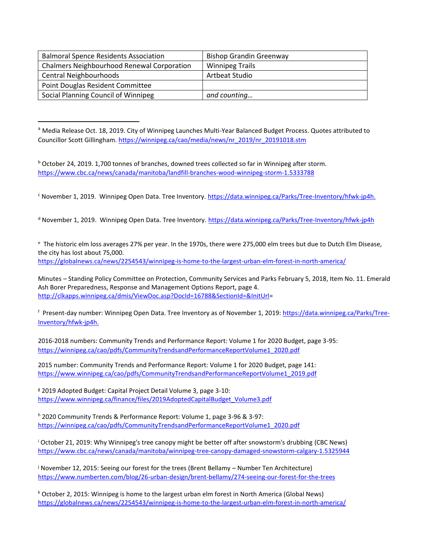| <b>Balmoral Spence Residents Association</b>      | <b>Bishop Grandin Greenway</b> |
|---------------------------------------------------|--------------------------------|
| <b>Chalmers Neighbourhood Renewal Corporation</b> | <b>Winnipeg Trails</b>         |
| Central Neighbourhoods                            | Artbeat Studio                 |
| Point Douglas Resident Committee                  |                                |
| Social Planning Council of Winnipeg               | and counting                   |

<sup>a</sup> Media Release Oct. 18, 2019. City of Winnipeg Launches Multi-Year Balanced Budget Process. Quotes attributed to Councillor Scott Gillingham[. https://winnipeg.ca/cao/media/news/nr\\_2019/nr\\_20191018.stm](https://winnipeg.ca/cao/media/news/nr_2019/nr_20191018.stm)

 $b$  October 24, 2019. 1,700 tonnes of branches, downed trees collected so far in Winnipeg after storm. <https://www.cbc.ca/news/canada/manitoba/landfill-branches-wood-winnipeg-storm-1.5333788>

<sup>c</sup> November 1, 2019. Winnipeg Open Data. Tree Inventory. https://data.winnipeg.ca/Parks/Tree-Inventory/hfwk-jp4h.

d November 1, 2019. Winnipeg Open Data. Tree Inventory.<https://data.winnipeg.ca/Parks/Tree-Inventory/hfwk-jp4h>

<sup>e</sup> The historic elm loss averages 27% per year. In the 1970s, there were 275,000 elm trees but due to Dutch Elm Disease, the city has lost about 75,000.

<https://globalnews.ca/news/2254543/winnipeg-is-home-to-the-largest-urban-elm-forest-in-north-america/>

Minutes – Standing Policy Committee on Protection, Community Services and Parks February 5, 2018, Item No. 11. Emerald Ash Borer Preparedness, Response and Management Options Report, page 4. [http://clkapps.winnipeg.ca/dmis/ViewDoc.asp?DocId=16788&SectionId=&InitUrl=](http://clkapps.winnipeg.ca/dmis/ViewDoc.asp?DocId=16788&SectionId=&InitUrl)

<sup>f</sup> Present-day number: Winnipeg Open Data. Tree Inventory as of November 1, 2019: <u>https://data.winnipeg.ca/Parks/Tree-</u> [Inventory/hfwk-jp4h.](https://data.winnipeg.ca/Parks/Tree-Inventory/hfwk-jp4h)

2016-2018 numbers: Community Trends and Performance Report: Volume 1 for 2020 Budget, page 3-95: [https://winnipeg.ca/cao/pdfs/CommunityTrendsandPerformanceReportVolume1\\_2020.pdf](https://winnipeg.ca/cao/pdfs/CommunityTrendsandPerformanceReportVolume1_2020.pdf)

2015 number: Community Trends and Performance Report: Volume 1 for 2020 Budget, page 141: [https://www.winnipeg.ca/cao/pdfs/CommunityTrendsandPerformanceReportVolume1\\_2019.pdf](https://www.winnipeg.ca/cao/pdfs/CommunityTrendsandPerformanceReportVolume1_2019.pdf)

<sup>g</sup> 2019 Adopted Budget: Capital Project Detail Volume 3, page 3-10: [https://www.winnipeg.ca/finance/files/2019AdoptedCapitalBudget\\_Volume3.pdf](https://www.winnipeg.ca/finance/files/2019AdoptedCapitalBudget_Volume3.pdf)

<sup>h</sup> 2020 Community Trends & Performance Report: Volume 1, page 3-96 & 3-97: [https://winnipeg.ca/cao/pdfs/CommunityTrendsandPerformanceReportVolume1\\_2020.pdf](https://winnipeg.ca/cao/pdfs/CommunityTrendsandPerformanceReportVolume1_2020.pdf)

<sup>i</sup> October 21, 2019: Why Winnipeg's tree canopy might be better off after snowstorm's drubbing (CBC News) <https://www.cbc.ca/news/canada/manitoba/winnipeg-tree-canopy-damaged-snowstorm-calgary-1.5325944>

<sup>j</sup> November 12, 2015: Seeing our forest for the trees (Brent Bellamy – Number Ten Architecture) <https://www.numberten.com/blog/26-urban-design/brent-bellamy/274-seeing-our-forest-for-the-trees>

<sup>k</sup> October 2, 2015: Winnipeg is home to the largest urban elm forest in North America (Global News) <https://globalnews.ca/news/2254543/winnipeg-is-home-to-the-largest-urban-elm-forest-in-north-america/>